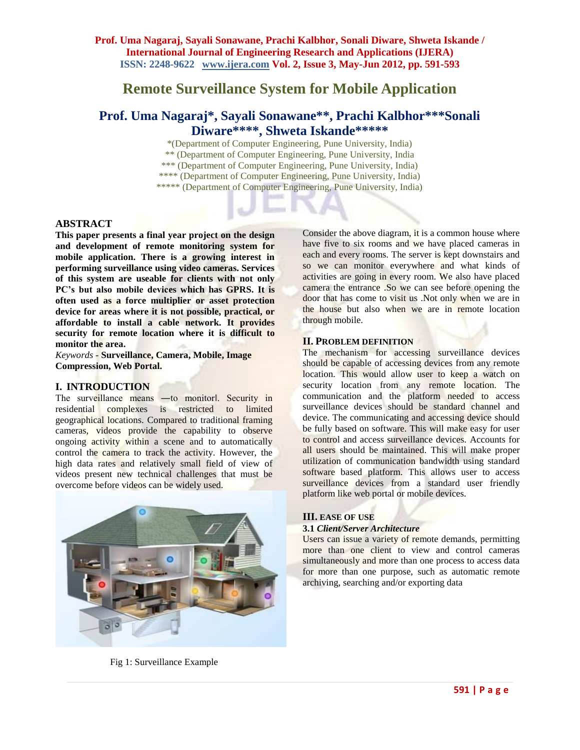**Prof. Uma Nagaraj, Sayali Sonawane, Prachi Kalbhor, Sonali Diware, Shweta Iskande / International Journal of Engineering Research and Applications (IJERA) ISSN: 2248-9622 www.ijera.com Vol. 2, Issue 3, May-Jun 2012, pp. 591-593**

# **Remote Surveillance System for Mobile Application**

## **Prof. Uma Nagaraj\*, Sayali Sonawane\*\*, Prachi Kalbhor\*\*\*Sonali Diware\*\*\*\*, Shweta Iskande\*\*\*\*\***

\*(Department of Computer Engineering, Pune University, India) \*\* (Department of Computer Engineering, Pune University, India \*\*\* (Department of Computer Engineering, Pune University, India) \*\*\*\* (Department of Computer Engineering, Pune University, India) \*\*\*\*\* (Department of Computer Engineering, Pune University, India)

## **ABSTRACT**

**This paper presents a final year project on the design and development of remote monitoring system for mobile application. There is a growing interest in performing surveillance using video cameras. Services of this system are useable for clients with not only PC's but also mobile devices which has GPRS. It is often used as a force multiplier or asset protection device for areas where it is not possible, practical, or affordable to install a cable network. It provides security for remote location where it is difficult to monitor the area.** 

*Keywords -* **Surveillance, Camera, Mobile, Image Compression, Web Portal.**

## **I. INTRODUCTION**

The surveillance means —to monitor Security in residential complexes is restricted to limited geographical locations. Compared to traditional framing cameras, videos provide the capability to observe ongoing activity within a scene and to automatically control the camera to track the activity. However, the high data rates and relatively small field of view of videos present new technical challenges that must be overcome before videos can be widely used.



Consider the above diagram, it is a common house where have five to six rooms and we have placed cameras in each and every rooms. The server is kept downstairs and so we can monitor everywhere and what kinds of activities are going in every room. We also have placed camera the entrance .So we can see before opening the door that has come to visit us .Not only when we are in the house but also when we are in remote location through mobile.

## **II. PROBLEM DEFINITION**

The mechanism for accessing surveillance devices should be capable of accessing devices from any remote location. This would allow user to keep a watch on security location from any remote location. The communication and the platform needed to access surveillance devices should be standard channel and device. The communicating and accessing device should be fully based on software. This will make easy for user to control and access surveillance devices. Accounts for all users should be maintained. This will make proper utilization of communication bandwidth using standard software based platform. This allows user to access surveillance devices from a standard user friendly platform like web portal or mobile devices.

## **III. EASE OF USE**

#### **3.1** *Client/Server Architecture*

Users can issue a variety of remote demands, permitting more than one client to view and control cameras simultaneously and more than one process to access data for more than one purpose, such as automatic remote archiving, searching and/or exporting data

Fig 1: Surveillance Example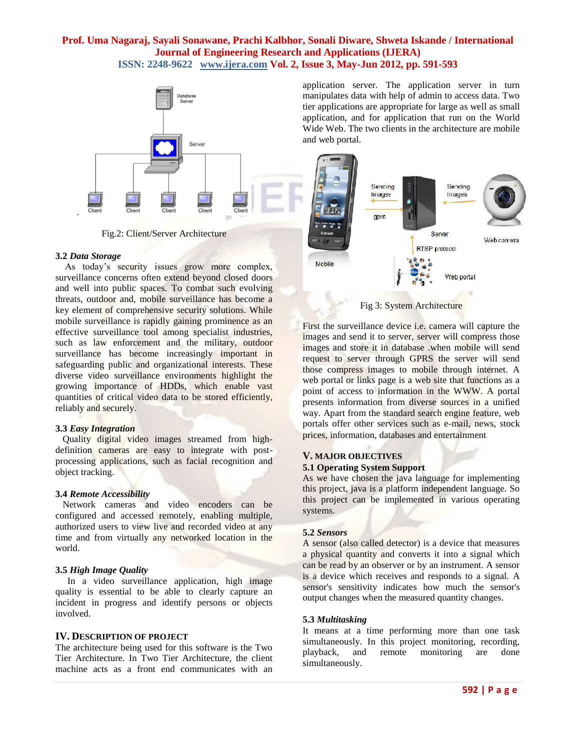## **Prof. Uma Nagaraj, Sayali Sonawane, Prachi Kalbhor, Sonali Diware, Shweta Iskande / International Journal of Engineering Research and Applications (IJERA) ISSN: 2248-9622 www.ijera.com Vol. 2, Issue 3, May-Jun 2012, pp. 591-593**



Fig.2: Client/Server Architecture

#### **3.2** *Data Storage*

.

 As today's security issues grow more complex, surveillance concerns often extend beyond closed doors and well into public spaces. To combat such evolving threats, outdoor and, mobile surveillance has become a key element of comprehensive security solutions. While mobile surveillance is rapidly gaining prominence as an effective surveillance tool among specialist industries, such as law enforcement and the military, outdoor surveillance has become increasingly important in safeguarding public and organizational interests. These diverse video surveillance environments highlight the growing importance of HDDs, which enable vast quantities of critical video data to be stored efficiently, reliably and securely.

#### **3.3** *Easy Integration*

 Quality digital video images streamed from highdefinition cameras are easy to integrate with postprocessing applications, such as facial recognition and object tracking.

#### **3.4** *Remote Accessibility*

 Network cameras and video encoders can be configured and accessed remotely, enabling multiple, authorized users to view live and recorded video at any time and from virtually any networked location in the world.

#### **3.5** *High Image Quality*

 In a video surveillance application, high image quality is essential to be able to clearly capture an incident in progress and identify persons or objects involved.

#### **IV. DESCRIPTION OF PROJECT**

The architecture being used for this software is the Two Tier Architecture. In Two Tier Architecture, the client machine acts as a front end communicates with an

application server. The application server in turn manipulates data with help of admin to access data. Two tier applications are appropriate for large as well as small application, and for application that run on the World Wide Web. The two clients in the architecture are mobile and web portal.



Fig 3: System Architecture

First the surveillance device i.e. camera will capture the images and send it to server, server will compress those images and store it in database .when mobile will send request to server through GPRS the server will send those compress images to mobile through internet. A web portal or links page is a web site that functions as a point of access to information in the WWW. A portal presents information from diverse sources in a unified way. Apart from the standard search engine feature, web portals offer other services such as e-mail, news, stock prices, information, databases and entertainment

## **V. MAJOR OBJECTIVES 5.1 Operating System Support**

As we have chosen the java language for implementing this project, java is a platform independent language. So this project can be implemented in various operating systems.

#### **5.2** *Sensors*

A sensor (also called detector) is a device that measures a physical quantity and converts it into a signal which can be read by an observer or by an instrument. A sensor is a device which receives and responds to a signal. A sensor's sensitivity indicates how much the sensor's output changes when the measured quantity changes.

#### **5.3** *Multitasking*

It means at a time performing more than one task simultaneously. In this project monitoring, recording, playback, and remote monitoring are done simultaneously.